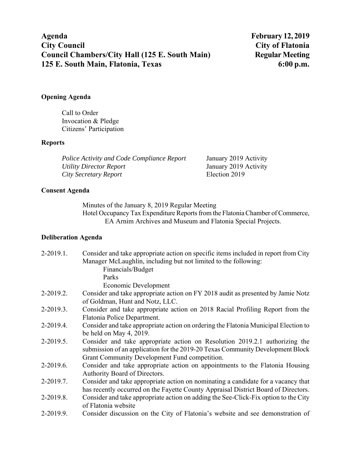# **Opening Agenda**

Call to Order Invocation & Pledge Citizens' Participation

# **Reports**

| <b>Police Activity and Code Compliance Report</b> | January 2019 Activity |
|---------------------------------------------------|-----------------------|
| Utility Director Report                           | January 2019 Activity |
| City Secretary Report                             | Election 2019         |

## **Consent Agenda**

Minutes of the January 8, 2019 Regular Meeting Hotel Occupancy Tax Expenditure Reports from the Flatonia Chamber of Commerce, EA Arnim Archives and Museum and Flatonia Special Projects.

# **Deliberation Agenda**

| 2-2019.1. | Consider and take appropriate action on specific items included in report from City |
|-----------|-------------------------------------------------------------------------------------|
|           | Manager McLaughlin, including but not limited to the following:                     |
|           | Financials/Budget                                                                   |
|           | Parks                                                                               |
|           | Economic Development                                                                |
| 2-2019.2. | Consider and take appropriate action on FY 2018 audit as presented by Jamie Notz    |
|           | of Goldman, Hunt and Notz, LLC.                                                     |
| 2-2019.3. | Consider and take appropriate action on 2018 Racial Profiling Report from the       |
|           | Flatonia Police Department.                                                         |
| 2-2019.4. | Consider and take appropriate action on ordering the Flatonia Municipal Election to |
|           | be held on May $4, 2019$ .                                                          |
| 2-2019.5. | Consider and take appropriate action on Resolution 2019.2.1 authorizing the         |
|           | submission of an application for the 2019-20 Texas Community Development Block      |
|           | Grant Community Development Fund competition.                                       |
| 2-2019.6. | Consider and take appropriate action on appointments to the Flatonia Housing        |
|           | Authority Board of Directors.                                                       |
| 2-2019.7. | Consider and take appropriate action on nominating a candidate for a vacancy that   |
|           | has recently occurred on the Fayette County Appraisal District Board of Directors.  |
| 2-2019.8. | Consider and take appropriate action on adding the See-Click-Fix option to the City |
|           | of Flatonia website                                                                 |
| 2-2019.9. | Consider discussion on the City of Flatonia's website and see demonstration of      |